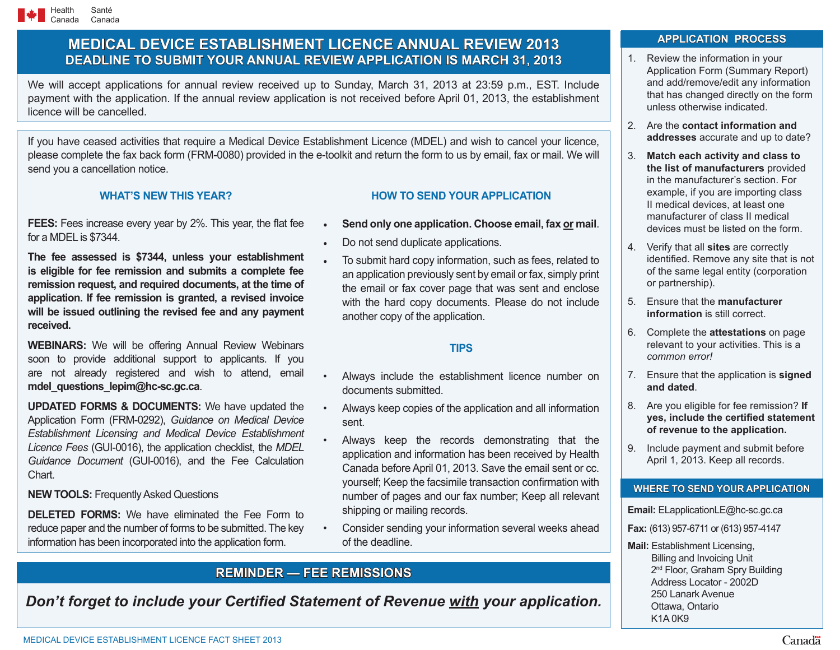# **MEDICAL DEVICE ESTABLISHMENT LICENCE ANNUAL REVIEW 2013 DEADLINE TO SUBMIT YOUR ANNUAL REVIEW APPLICATION IS MARCH 31, 2013**

We will accept applications for annual review received up to Sunday, March 31, 2013 at 23:59 p.m., EST. Include payment with the application. If the annual review application is not received before April 01, 2013, the establishment licence will be cancelled.

If you have ceased activities that require a Medical Device Establishment Licence (MDEL) and wish to cancel your licence, please complete the fax back form (FRM-0080) provided in the e-toolkit and return the form to us by email, fax or mail. We will send you a cancellation notice.

## **WHAT'S NEW THIS YEAR?**

**FEES:** Fees increase every year by 2%. This year, the flat fee for a MDEL is \$7344.

**The fee assessed is \$7344, unless your establishment is eligible for fee remission and submits a complete fee remission request, and required documents, at the time of application. If fee remission is granted, a revised invoice will be issued outlining the revised fee and any payment received.**

**WEBINARS:** We will be offering Annual Review Webinars soon to provide additional support to applicants. If you are not already registered and wish to attend, email **mdel\_questions\_lepim@hc-sc.gc.ca**.

**UPDATED FORMS & DOCUMENTS:** We have updated the Application Form (FRM-0292), *Guidance on Medical Device Establishment Licensing and Medical Device Establishment Licence Fees* (GUI-0016), the application checklist, the *MDEL Guidance Document* (GUI-0016), and the Fee Calculation **Chart** 

### **NEW TOOLS: Frequently Asked Questions**

**DELETED FORMS:** We have eliminated the Fee Form to reduce paper and the number of forms to be submitted. The key information has been incorporated into the application form.

## **HOW TO SEND YOUR APPLICATION**

- **Send only one application. Choose email, fax or mail.**
- Do not send duplicate applications.
- To submit hard copy information, such as fees, related to an application previously sent by email or fax, simply print the email or fax cover page that was sent and enclose with the hard copy documents. Please do not include another copy of the application.

## **TIPS**

- Always include the establishment licence number on documents submitted.
- Always keep copies of the application and all information sent.
- Always keep the records demonstrating that the application and information has been received by Health Canada before April 01, 2013. Save the email sent or cc. yourself; Keep the facsimile transaction confirmation with number of pages and our fax number; Keep all relevant shipping or mailing records.
- Consider sending your information several weeks ahead of the deadline.

# **REMINDER — FEE REMISSIONS**

*Don't forget to include your Certified Statement of Revenue with your application.* 

# **APPLICATION PROCESS APPLICATION PROCESS**

- 1. Review the information in your Application Form (Summary Report) and add/remove/edit any information that has changed directly on the form unless otherwise indicated.
- 2. Are the **contact information and addresses** accurate and up to date?
- 3. **Match each activity and class to the list of manufacturers** provided in the manufacturer's section. For example, if you are importing class II medical devices, at least one manufacturer of class II medical devices must be listed on the form.
- 4. Verify that all **sites** are correctly identified. Remove any site that is not of the same legal entity (corporation or partnership).
- 5. Ensure that the **manufacturer information** is still correct.
- 6. Complete the **attestations** on page relevant to your activities. This is a *common error!*
- 7. Ensure that the application is **signed and dated**.
- 8. Are you eligible for fee remission? **If yes, include the certified statement of revenue to the application.**
- 9. Include payment and submit before April 1, 2013. Keep all records.

## **WHERE TO SEND YOUR APPLICATION**

#### **Email:** ELapplicationLE@hc-sc.gc.ca

- **Fax:** (613) 957-6711 or (613) 957-4147
- **Mail:** Establishment Licensing, Billing and Invoicing Unit 2<sup>nd</sup> Floor, Graham Spry Building Address Locator - 2002D 250 Lanark Avenue Ottawa, Ontario K1A 0K9